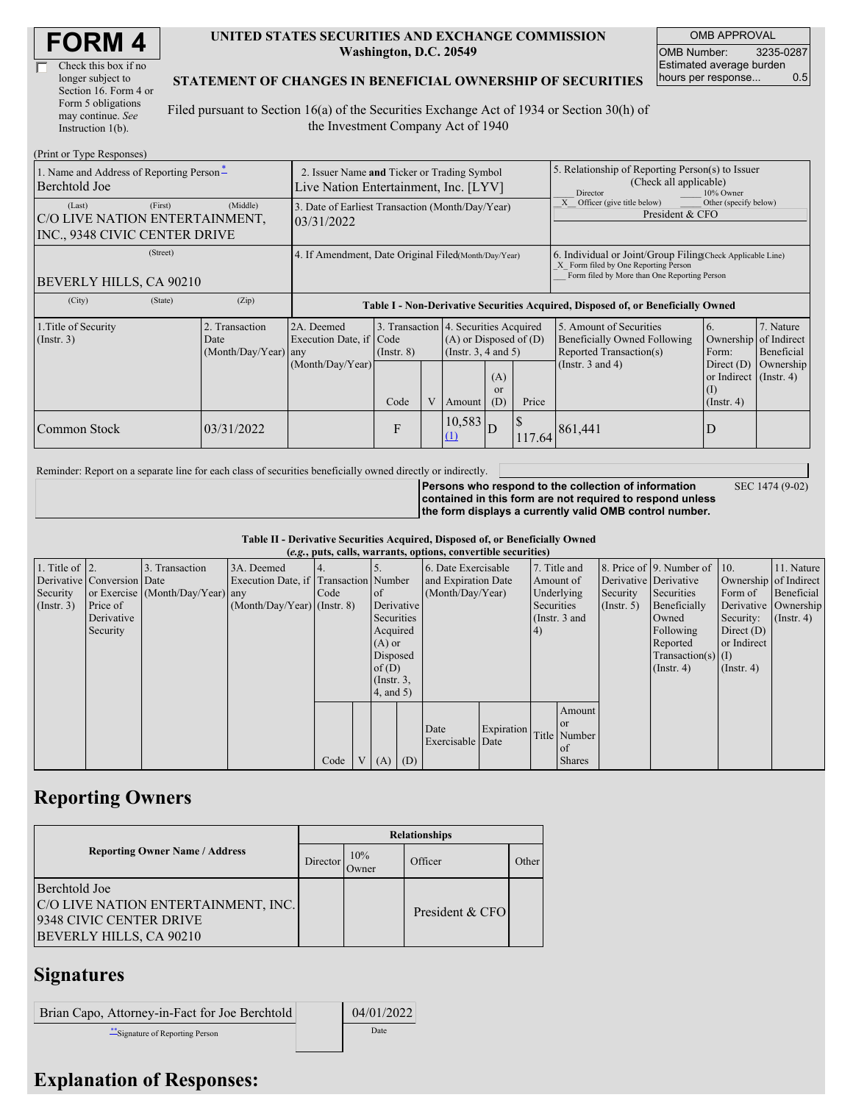| <b>FORM4</b> |
|--------------|
|--------------|

| Check this box if no  |
|-----------------------|
| longer subject to     |
| Section 16. Form 4 or |
| Form 5 obligations    |
| may continue. See     |
| Instruction 1(b).     |

#### **UNITED STATES SECURITIES AND EXCHANGE COMMISSION Washington, D.C. 20549**

OMB APPROVAL OMB Number: 3235-0287 Estimated average burden hours per response... 0.5

SEC 1474 (9-02)

#### **STATEMENT OF CHANGES IN BENEFICIAL OWNERSHIP OF SECURITIES**

Filed pursuant to Section 16(a) of the Securities Exchange Act of 1934 or Section 30(h) of the Investment Company Act of 1940

| (Print or Type Responses)                                                            |                                                                                      |                                                                                  |                                 |   |               |                                                                                                                                     |                                                                                                                                                    |                                                                                                             |                                                                                                          |                                                     |  |
|--------------------------------------------------------------------------------------|--------------------------------------------------------------------------------------|----------------------------------------------------------------------------------|---------------------------------|---|---------------|-------------------------------------------------------------------------------------------------------------------------------------|----------------------------------------------------------------------------------------------------------------------------------------------------|-------------------------------------------------------------------------------------------------------------|----------------------------------------------------------------------------------------------------------|-----------------------------------------------------|--|
| 1. Name and Address of Reporting Person-<br>Berchtold Joe                            | 2. Issuer Name and Ticker or Trading Symbol<br>Live Nation Entertainment, Inc. [LYV] |                                                                                  |                                 |   |               |                                                                                                                                     | 5. Relationship of Reporting Person(s) to Issuer<br>(Check all applicable)<br>10% Owner<br>Director                                                |                                                                                                             |                                                                                                          |                                                     |  |
| (First)<br>(Last)<br>C/O LIVE NATION ENTERTAINMENT,<br>INC., 9348 CIVIC CENTER DRIVE | (Middle)                                                                             | 3. Date of Earliest Transaction (Month/Day/Year)<br>03/31/2022                   |                                 |   |               |                                                                                                                                     |                                                                                                                                                    | Officer (give title below)<br>Other (specify below)<br>President & CFO                                      |                                                                                                          |                                                     |  |
| (Street)<br>BEVERLY HILLS, CA 90210                                                  | 4. If Amendment, Date Original Filed(Month/Day/Year)                                 |                                                                                  |                                 |   |               |                                                                                                                                     | 6. Individual or Joint/Group Filing Check Applicable Line)<br>X Form filed by One Reporting Person<br>Form filed by More than One Reporting Person |                                                                                                             |                                                                                                          |                                                     |  |
| (City)<br>(State)                                                                    | (Zip)                                                                                | Table I - Non-Derivative Securities Acquired, Disposed of, or Beneficially Owned |                                 |   |               |                                                                                                                                     |                                                                                                                                                    |                                                                                                             |                                                                                                          |                                                     |  |
| 1. Title of Security<br>$($ Instr. 3 $)$                                             | Transaction<br>Date<br>(Month/Day/Year) any                                          | 2A. Deemed<br>Execution Date, if<br>(Month/Day/Year)                             | Code<br>$($ Instr. $8)$<br>Code | V | Amount        | 3. Transaction 4. Securities Acquired<br>$(A)$ or Disposed of $(D)$<br>(Insert. 3, 4 and 5)<br>(A)<br><sub>or</sub><br>(D)<br>Price |                                                                                                                                                    | 5. Amount of Securities<br>Beneficially Owned Following<br>Reported Transaction(s)<br>(Instr. $3$ and $4$ ) | 6.<br>Ownership<br>Form:<br>Direct $(D)$<br>or Indirect $($ Instr. 4 $)$<br>$\rm(I)$<br>$($ Instr. 4 $)$ | 7. Nature<br>of Indirect<br>Beneficial<br>Ownership |  |
| Common Stock                                                                         | 03/31/2022                                                                           |                                                                                  | $\mathbf{F}$                    |   | 10,583<br>(1) | D                                                                                                                                   | 117.64                                                                                                                                             | 861,441                                                                                                     | D                                                                                                        |                                                     |  |

Reminder: Report on a separate line for each class of securities beneficially owned directly or indirectly.

**Persons who respond to the collection of information contained in this form are not required to respond unless the form displays a currently valid OMB control number.**

**Table II - Derivative Securities Acquired, Disposed of, or Beneficially Owned**

| (e.g., puts, calls, warrants, options, convertible securities) |                            |                                  |                                       |      |  |                  |                  |                     |               |            |               |                       |                              |                       |                      |
|----------------------------------------------------------------|----------------------------|----------------------------------|---------------------------------------|------|--|------------------|------------------|---------------------|---------------|------------|---------------|-----------------------|------------------------------|-----------------------|----------------------|
| 1. Title of $\vert$ 2.                                         |                            | 3. Transaction                   | 3A. Deemed                            |      |  |                  |                  | 6. Date Exercisable |               |            | 7. Title and  |                       | 8. Price of 9. Number of 10. |                       | 11. Nature           |
|                                                                | Derivative Conversion Date |                                  | Execution Date, if Transaction Number |      |  |                  |                  | and Expiration Date |               | Amount of  |               | Derivative Derivative |                              | Ownership of Indirect |                      |
| Security                                                       |                            | or Exercise (Month/Day/Year) any |                                       | Code |  | <sub>of</sub>    | (Month/Day/Year) |                     | Underlying    |            | Security      | Securities            | Form of                      | Beneficial            |                      |
| $($ Instr. 3 $)$                                               | Price of                   |                                  | $(Month/Day/Year)$ (Instr. 8)         |      |  | Derivative       |                  |                     |               | Securities |               | (Insert, 5)           | Beneficially                 |                       | Derivative Ownership |
|                                                                | Derivative                 |                                  |                                       |      |  | Securities       |                  |                     | (Instr. 3 and |            |               | Owned                 | Security:                    | $($ Instr. 4)         |                      |
|                                                                | Security                   |                                  |                                       |      |  | Acquired         |                  |                     |               | (4)        |               |                       | Following                    | Direct $(D)$          |                      |
|                                                                |                            |                                  |                                       |      |  | $(A)$ or         |                  |                     |               |            |               |                       | Reported                     | or Indirect           |                      |
|                                                                |                            |                                  |                                       |      |  | Disposed         |                  |                     |               |            |               |                       | $Transaction(s)$ (I)         |                       |                      |
|                                                                |                            |                                  |                                       |      |  | of(D)            |                  |                     |               |            |               |                       | $($ Instr. 4 $)$             | $($ Instr. 4 $)$      |                      |
|                                                                |                            |                                  |                                       |      |  | $($ Instr. $3$ , |                  |                     |               |            |               |                       |                              |                       |                      |
|                                                                |                            |                                  |                                       |      |  | 4, and 5)        |                  |                     |               |            |               |                       |                              |                       |                      |
|                                                                |                            |                                  |                                       |      |  |                  |                  |                     |               |            | Amount        |                       |                              |                       |                      |
|                                                                |                            |                                  |                                       |      |  |                  |                  |                     |               |            | <sub>or</sub> |                       |                              |                       |                      |
|                                                                |                            |                                  |                                       |      |  |                  |                  | Date                | Expiration    |            | Title Number  |                       |                              |                       |                      |
|                                                                |                            |                                  |                                       |      |  |                  |                  | Exercisable Date    |               |            | of            |                       |                              |                       |                      |
|                                                                |                            |                                  |                                       | Code |  | $(A)$ $(D)$      |                  |                     |               |            | <b>Shares</b> |                       |                              |                       |                      |

## **Reporting Owners**

|                                                                                                            | <b>Relationships</b> |              |                 |       |  |  |  |  |
|------------------------------------------------------------------------------------------------------------|----------------------|--------------|-----------------|-------|--|--|--|--|
| <b>Reporting Owner Name / Address</b>                                                                      | Director             | 10%<br>Owner | Officer         | Other |  |  |  |  |
| Berchtold Joe<br>C/O LIVE NATION ENTERTAINMENT, INC.<br>9348 CIVIC CENTER DRIVE<br>BEVERLY HILLS, CA 90210 |                      |              | President & CFO |       |  |  |  |  |

# **Signatures**

| Brian Capo, Attorney-in-Fact for Joe Berchtold | 04/01/2022 |
|------------------------------------------------|------------|
| Signature of Reporting Person                  | Date       |

### **Explanation of Responses:**